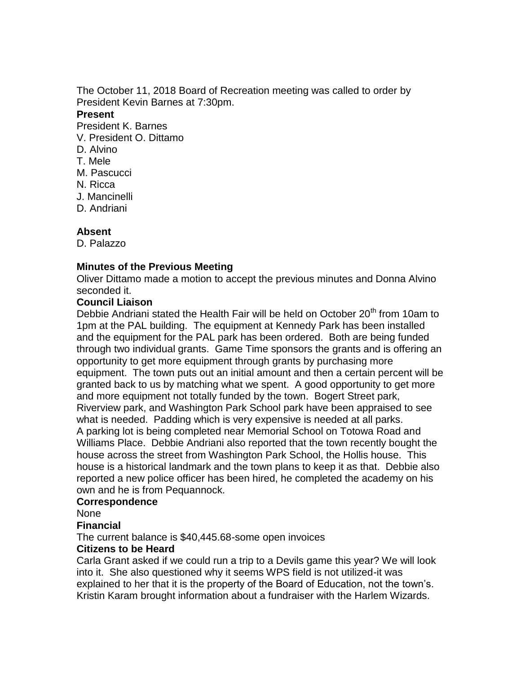The October 11, 2018 Board of Recreation meeting was called to order by President Kevin Barnes at 7:30pm.

#### **Present**

President K. Barnes

- V. President O. Dittamo
- D. Alvino
- T. Mele
- M. Pascucci
- N. Ricca
- J. Mancinelli
- D. Andriani

# **Absent**

D. Palazzo

# **Minutes of the Previous Meeting**

Oliver Dittamo made a motion to accept the previous minutes and Donna Alvino seconded it.

# **Council Liaison**

Debbie Andriani stated the Health Fair will be held on October 20<sup>th</sup> from 10am to 1pm at the PAL building. The equipment at Kennedy Park has been installed and the equipment for the PAL park has been ordered. Both are being funded through two individual grants. Game Time sponsors the grants and is offering an opportunity to get more equipment through grants by purchasing more equipment. The town puts out an initial amount and then a certain percent will be granted back to us by matching what we spent. A good opportunity to get more and more equipment not totally funded by the town. Bogert Street park, Riverview park, and Washington Park School park have been appraised to see what is needed. Padding which is very expensive is needed at all parks. A parking lot is being completed near Memorial School on Totowa Road and Williams Place. Debbie Andriani also reported that the town recently bought the house across the street from Washington Park School, the Hollis house. This house is a historical landmark and the town plans to keep it as that. Debbie also reported a new police officer has been hired, he completed the academy on his own and he is from Pequannock.

# **Correspondence**

None

# **Financial**

The current balance is \$40,445.68-some open invoices

# **Citizens to be Heard**

Carla Grant asked if we could run a trip to a Devils game this year? We will look into it. She also questioned why it seems WPS field is not utilized-it was explained to her that it is the property of the Board of Education, not the town's. Kristin Karam brought information about a fundraiser with the Harlem Wizards.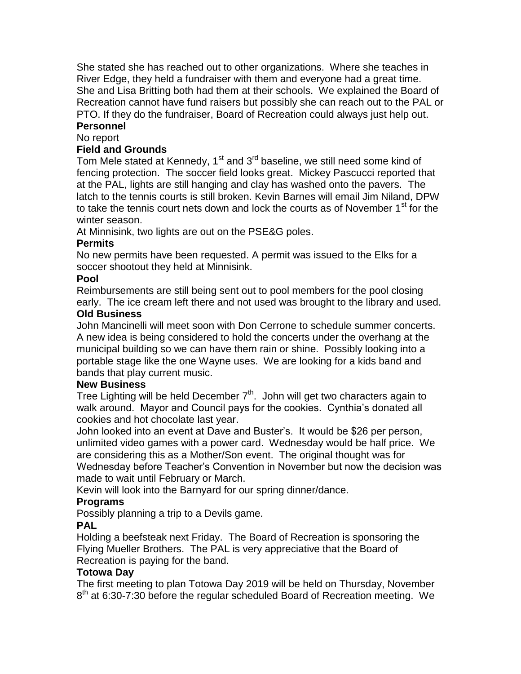She stated she has reached out to other organizations. Where she teaches in River Edge, they held a fundraiser with them and everyone had a great time. She and Lisa Britting both had them at their schools. We explained the Board of Recreation cannot have fund raisers but possibly she can reach out to the PAL or PTO. If they do the fundraiser, Board of Recreation could always just help out. **Personnel**

# No report

# **Field and Grounds**

Tom Mele stated at Kennedy,  $1<sup>st</sup>$  and  $3<sup>rd</sup>$  baseline, we still need some kind of fencing protection. The soccer field looks great. Mickey Pascucci reported that at the PAL, lights are still hanging and clay has washed onto the pavers. The latch to the tennis courts is still broken. Kevin Barnes will email Jim Niland, DPW to take the tennis court nets down and lock the courts as of November  $1<sup>st</sup>$  for the winter season.

At Minnisink, two lights are out on the PSE&G poles.

# **Permits**

No new permits have been requested. A permit was issued to the Elks for a soccer shootout they held at Minnisink.

# **Pool**

Reimbursements are still being sent out to pool members for the pool closing early. The ice cream left there and not used was brought to the library and used.

# **Old Business**

John Mancinelli will meet soon with Don Cerrone to schedule summer concerts. A new idea is being considered to hold the concerts under the overhang at the municipal building so we can have them rain or shine. Possibly looking into a portable stage like the one Wayne uses. We are looking for a kids band and bands that play current music.

#### **New Business**

Tree Lighting will be held December  $7<sup>th</sup>$ . John will get two characters again to walk around. Mayor and Council pays for the cookies. Cynthia's donated all cookies and hot chocolate last year.

John looked into an event at Dave and Buster's. It would be \$26 per person, unlimited video games with a power card. Wednesday would be half price. We are considering this as a Mother/Son event. The original thought was for Wednesday before Teacher's Convention in November but now the decision was made to wait until February or March.

Kevin will look into the Barnyard for our spring dinner/dance.

# **Programs**

Possibly planning a trip to a Devils game.

# **PAL**

Holding a beefsteak next Friday. The Board of Recreation is sponsoring the Flying Mueller Brothers. The PAL is very appreciative that the Board of Recreation is paying for the band.

# **Totowa Day**

The first meeting to plan Totowa Day 2019 will be held on Thursday, November 8<sup>th</sup> at 6:30-7:30 before the regular scheduled Board of Recreation meeting. We